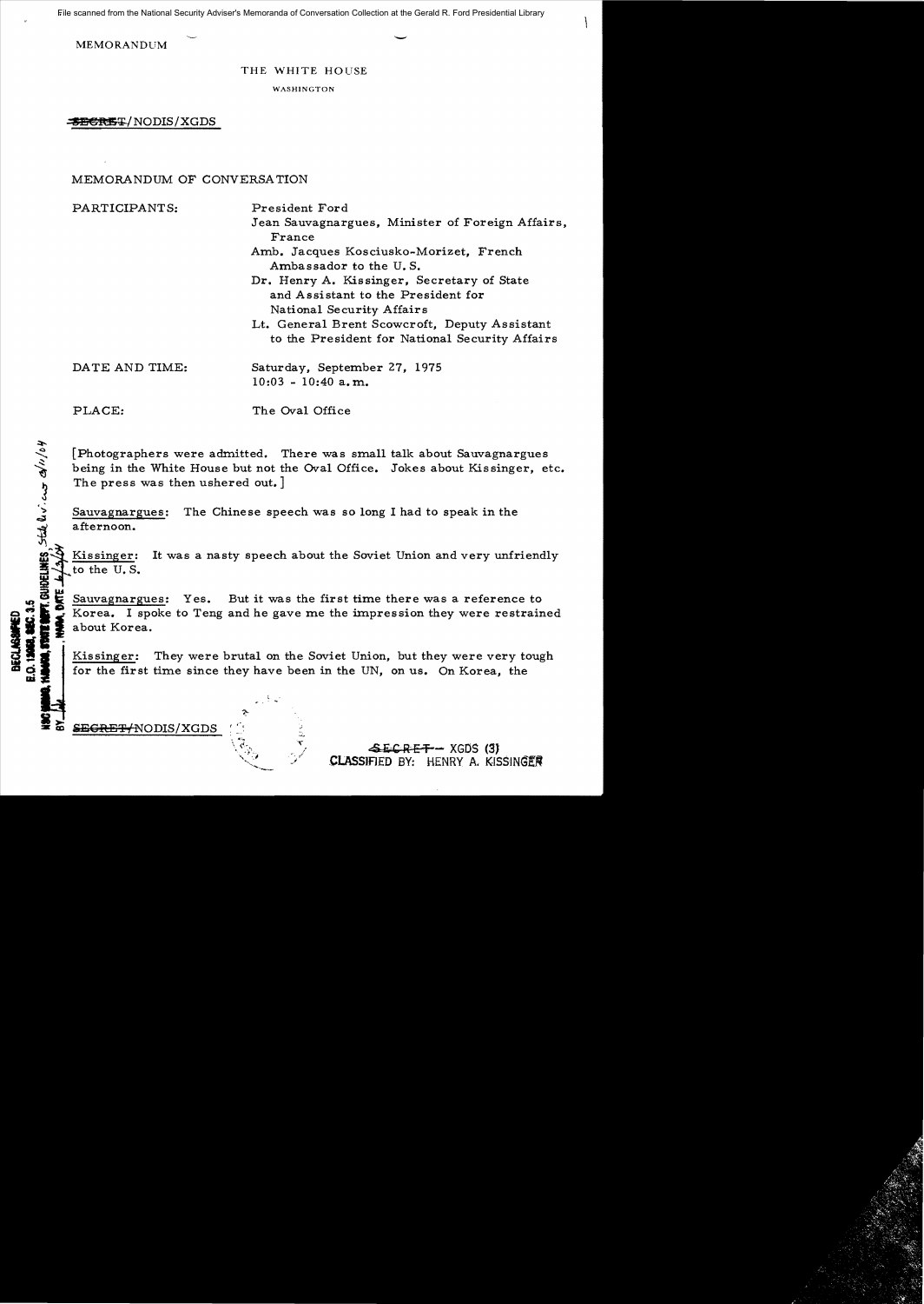File scanned from the National Security Adviser's Memoranda of Conversation Collection at the Gerald R. Ford Presidential Library

MEMORANDUM

## THE WHITE HOUSE

WASHINGTON

**SECRET/NODIS/XGDS** 

# MEMORANDUM OF CONVERSATION

PARTICIPANTS: President Ford

Jean Sauvagnargues, Minister of Foreign Affairs, France

Amb. Jacques Kosciusko-Morizet, French Ambassador to the U. S.

Dr. Henry A. Kissinger, Secretary of State and Assistant to the President for National Security Affairs

Lt. General Brent Scowcroft, Deputy Assistant to the President for National Security Affairs

| DATE AND TIME: | Saturday, September 27, 1975 |  |
|----------------|------------------------------|--|
|                | $10:03 - 10:40$ a.m.         |  |

GUIDELINES State av. cur divid

PLACE: The Oval Office

[Photographers were admitted. There was small talk about Sauvagnargues being in the White House but not the *Oval* Office. Jokes about Kissinger, etc. The press was then ushered out. ]

 $\sum_{n=1}^{\infty}$  Sauvagnargues: The Chinese speech was so long I had to speak in the afternoon.

Kissinger: It was a nasty speech about the Soviet Union and very unfriendly to the U.S.

Sauvagnargues: Yes. But it was the first time there was a reference to **Korea.** I spoke to Teng and he gave me the impression they were restrained about Korea.

**;**:ii**\_I** Kissinger: They were brutal on the Soviet Union, but they were very tough CD for the first time since they have been in the UN, on us. On Korea, the

*SEGRET-INODIS/XGDS* 

.£iCREr- XGOS (S) CLASSIFIED BY: HENRY A. KISSINGER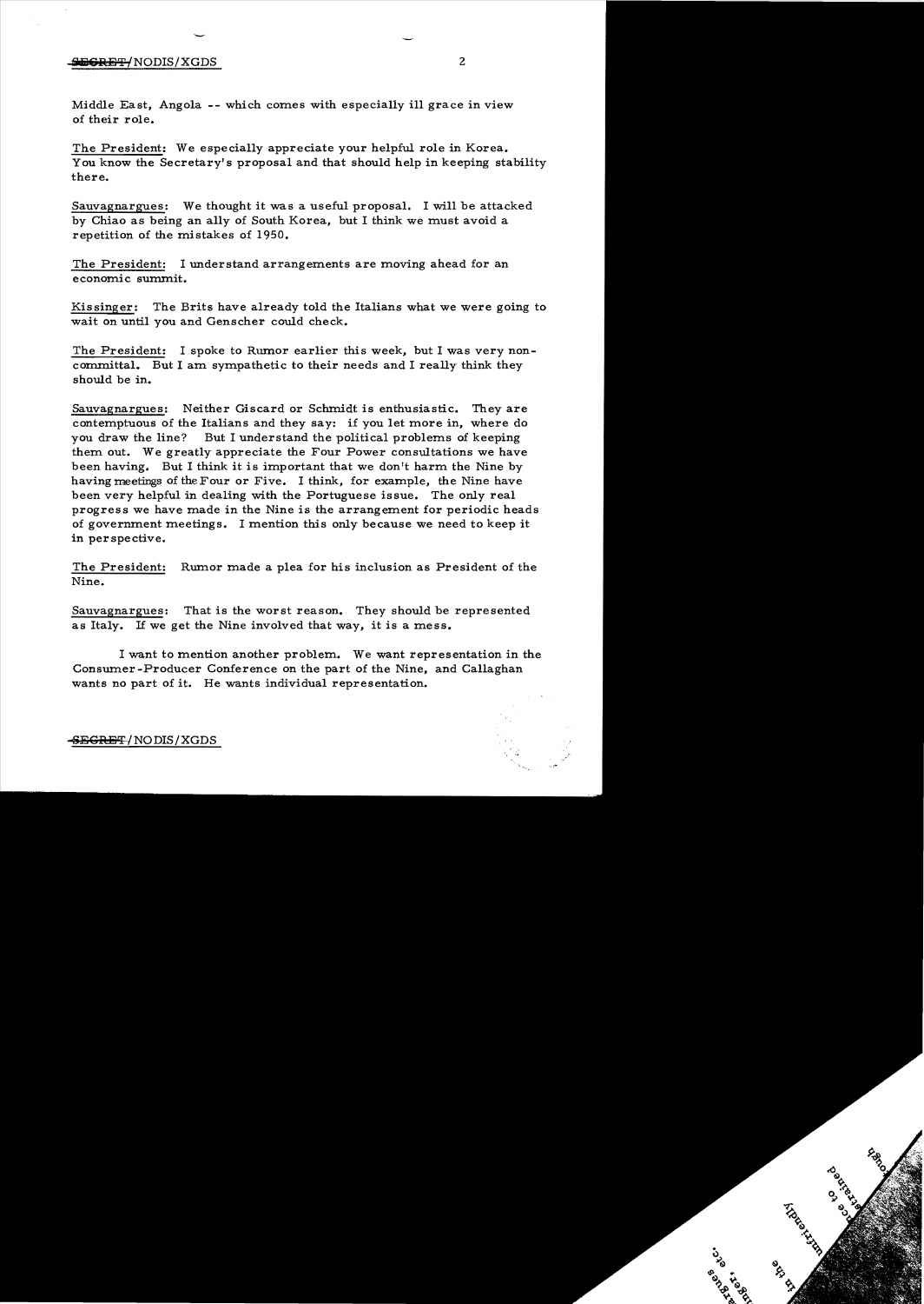## $\frac{1}{2}$ <del>ing Refle</del> (NODIS/XGDS 2

Middle East, Angola -- which comes with especially ill grace in view of their role.

The President: We especially appreciate your helpful role in Korea. You know the Secretary's proposal and that should help in keeping stability there.

Sauvagnargues: We thought it was a useful proposal. I will be attacked by Chiao as being an ally of South Korea, but I think we must avoid a repetition of the mistakes of 1950.

The President: I understand arrangements are moving ahead for an economic summit.

Kissinger: The Brits have already told the Italians what we were going to wait on until you and Genscher could check.

The President: I spoke to Rumor earlier this week, but I was very noncommittal. But I am sympathetic to their needs and I really think they should be in.

Sauvagnargues: Neither Giscard or Schmidt is enthusiastic. They are contemptuous of the Italians and they say: if you let more in, where do you draw the line? But I understand the political problems of keeping them out. We greatly appreciate the Four Power consultations we have been having. But I think it is important that we don't harm the Nine by having meetings of the Four or Five. I think, for example, the Nine have been very helpful in dealing with the Portuguese issue. The only real progress we have made in the Nine is the arrangement for periodic heads of government meetings. I mention this only because we need to keep it in perspective.

The President: Rumor made a plea for his inclusion as President of the Nine.

Sauvagnargues: That is the worst reason. They should be represented as Italy. If we get the Nine involved that way, it is a mess.

I want to mention another problem. We want representation in the Consumer -Producer Conference on the part of the Nine, and Callaghan wants no part of it. He wants individual representation.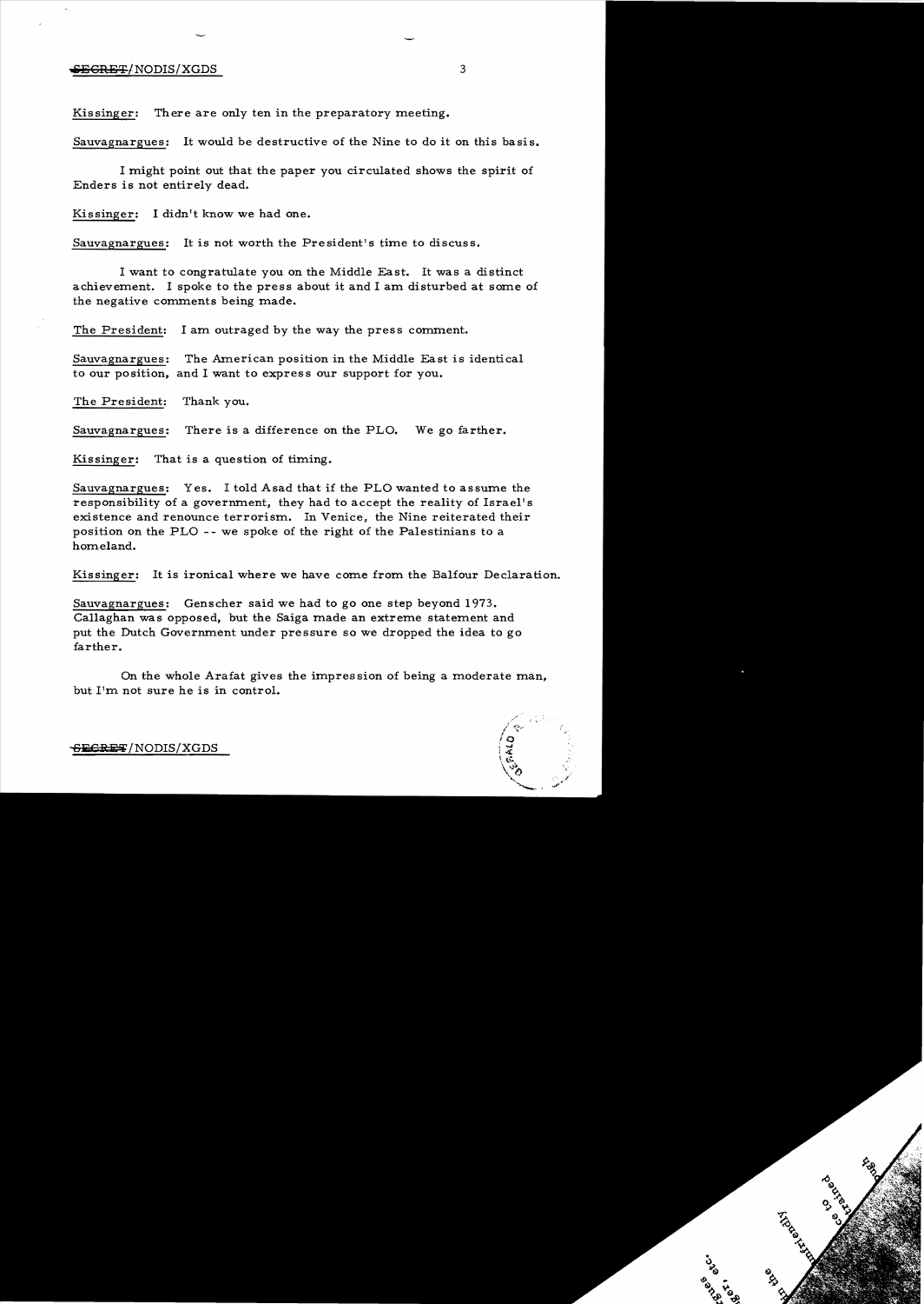#### $\frac{1}{2}$  is the set of  $\frac{1}{2}$  is the set of  $\frac{1}{2}$  is the set of  $\frac{1}{2}$  is the set of  $\frac{1}{2}$  is the set of  $\frac{1}{2}$  is the set of  $\frac{1}{2}$  is the set of  $\frac{1}{2}$  is the set of  $\frac{1}{2}$  is the set of  $\frac{1$

Kissinger: There are only ten in the preparatory meeting.

Sauvagnargues: It would be destructive of the Nine to do it on this basis.

I might point out that the paper you circulated shows the spirit of Enders is not entirely dead.

Kissinger: I didn't know we had one.

Sauvagnargues: It is not worth the President's time to discuss.

I want to congratulate you on the Middle East. It was a distinct achievement. I spoke to the press about it and I am disturbed at some of the negative comments being made.

The President: I am outraged by the way the press comment.

Sauvagnargues: The American position in the Middle East is identical to our position, and I want to express our support for you.

The President: Thank you.

Sauvagnargues: There is a difference on the PLO. We go farther.

Kissinger: That is a question of timing.

Sauvagnargues: Yes. I told Asad that if the PLO wanted to assume the responsibility of a government, they had to accept the reality of Israel's existence and renounce terrorism. In Venice, the Nine reiterated their position on the PLO - - we spoke of the right of the Palestinians to a homeland.

Kissinger: It is ironical where we have come from the Balfour Declaration.

Sauvagnargues: Genscher said we had to go one step beyond 1973. Callaghan was opposed, but the Saiga made an extreme statement and put the Dutch Government under pressure so we dropped the idea to go farther.

On the whole Arafat gives the impres sion of being a moderate man, but I'm not sure he is in control.



**BECltiifi;**/NODIS/XGDS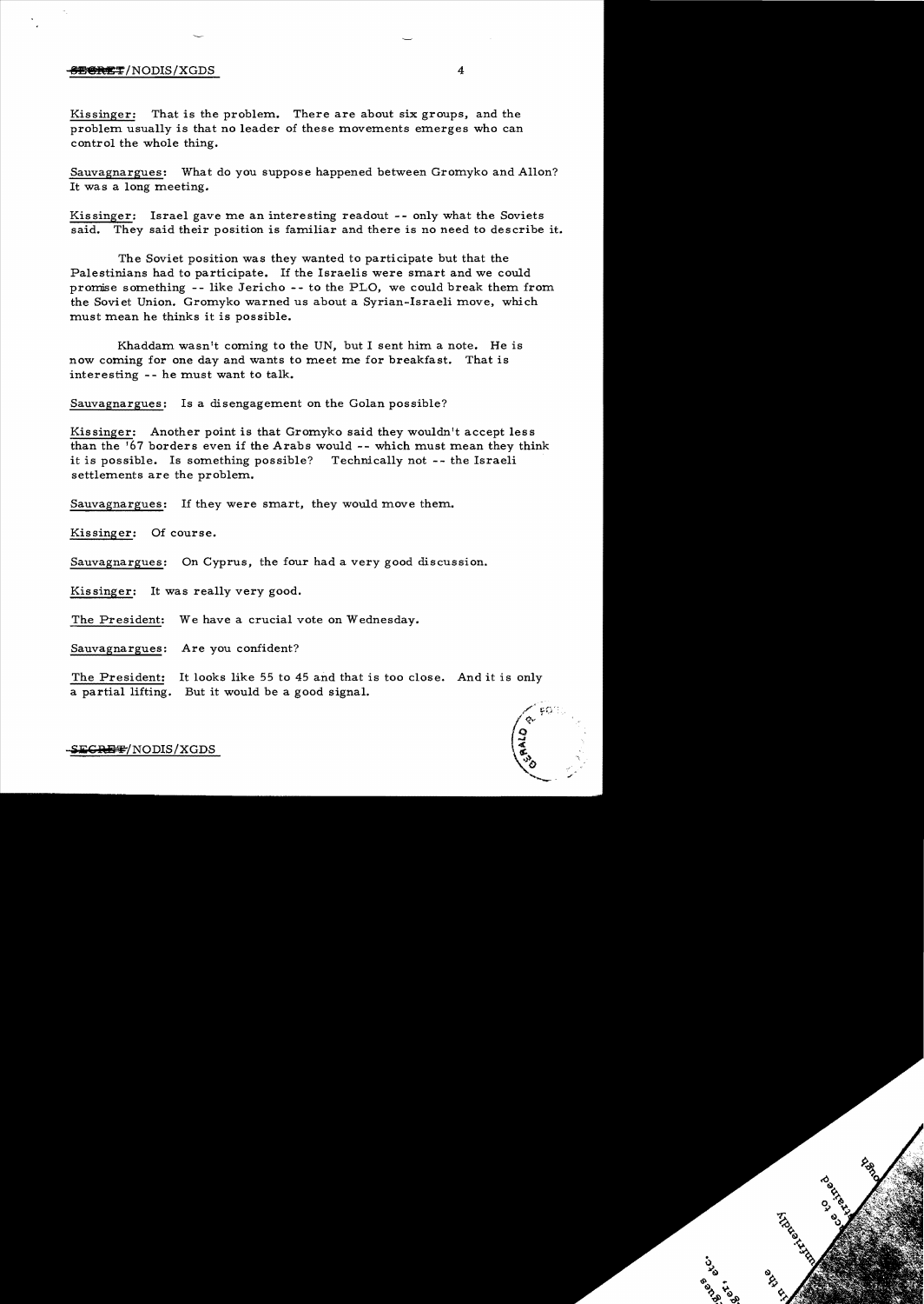### SECRET/NODIS/XGDS 4

Kissinger: That is the problem. There are about six groups, and the problem usually is that no leader of these movements emerges who can control the whole thing.

Sauvagnargues: What do you suppose happened between Gromyko and Allon? It was a long meeting.

Kissinger: Israel gave me an interesting readout -- only what the Soviets said. They said their position is familiar and there is no need to describe it.

The Soviet position was they wanted to participate but that the Palestinians had to participate. If the Israelis were smart and we could promise something -- like Jericho -- to the PLO, we could break them from the Soviet Union. Gromyko warned us about a Syrian-Israeli move, which must mean he thinks it is possible.

Khaddam wasn't coming to the UN, but I sent him a note. He is now coming for one day and wants to meet me for breakfast. That is interesting -- he must want to talk.

Sauvagnargues: Is a disengagement on the Golan possible?

Kissinger: Another point is that Gromyko said they wouldn't accept less than the '67 borders even if the Arabs would -- which must mean they think it is possible. Is something possible? Technically not -- the Israeli settlements are the problem.

Sauvagnargues: If they were smart, they would move them.

Kissinger: Of course.

Sauvagnargues: On Cyprus, the four had a very good discussion.

Kissinger: It was really very good.

The President: We have a crucial vote on Wednesday.

Sauvagnargues: Are you confident?

The President: It looks like 55 to 45 and that is too close. And it is only a partial lifting. But it would be a good signal.



S<del>ECRET</del>/NODIS/XGDS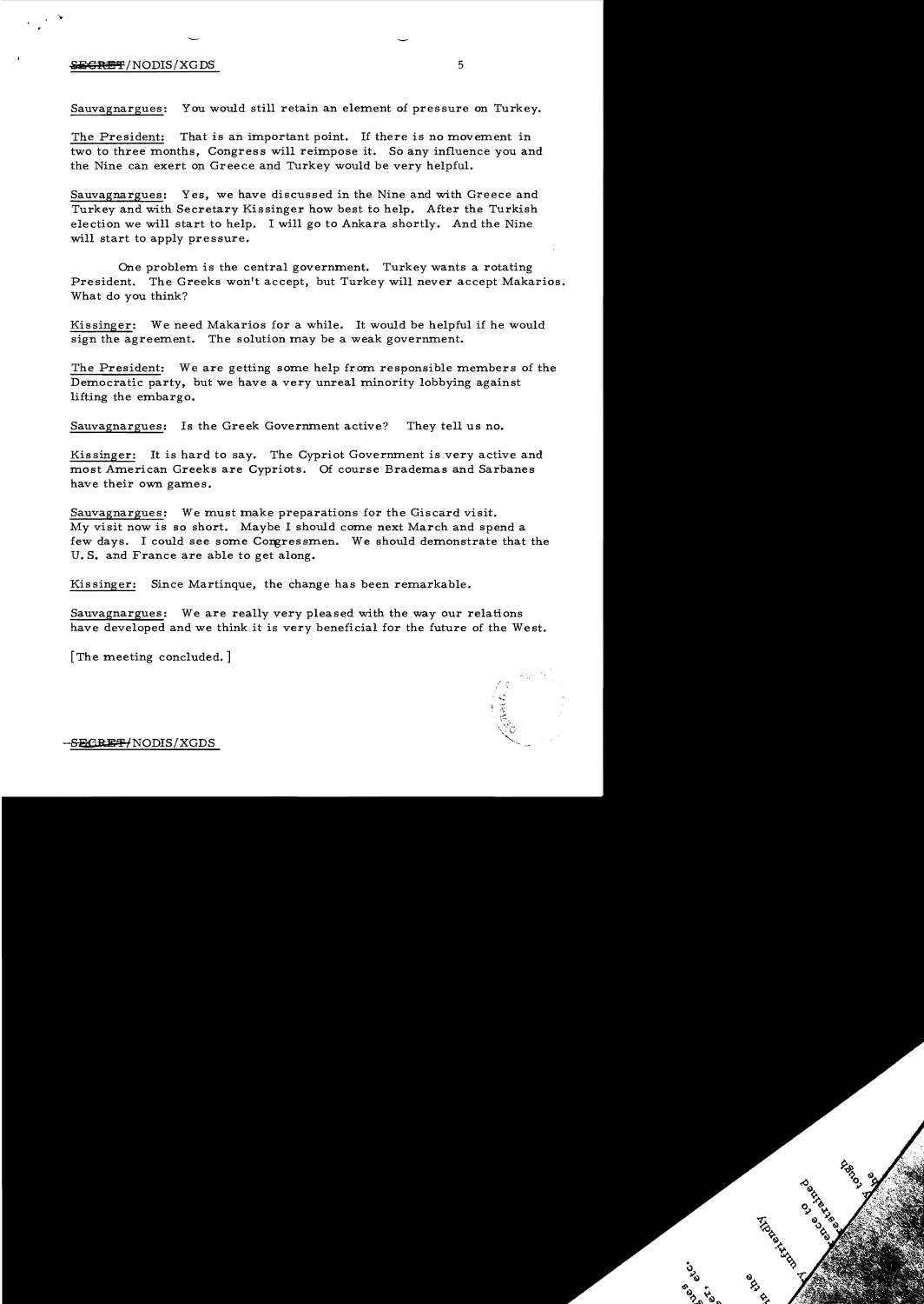## $\blacktriangleright$   $\blacktriangleright$   $\blacktriangleright$   $\blacktriangleright$   $\blacktriangleright$   $\blacktriangleright$   $\blacktriangleright$   $\blacktriangleright$   $\blacktriangleright$   $\blacktriangleright$   $\blacktriangleright$   $\dashv$   $\blacktriangleright$   $\dashv$   $\blacktriangleright$   $\dashv$   $\dashv$   $\dashv$   $\dashv$   $\dashv$   $\dashv$   $\dashv$   $\dashv$   $\dashv$   $\dashv$   $\dashv$   $\dashv$   $\dashv$   $\dashv$   $\dashv$   $\dashv$   $\dashv$   $\dash$

'..

Sauvagnargues: You would still retain an element of pressure on Turkey.

The President: That is an important point. If there is no movement in two to three months, Congress will reimpose it. So any influence you and the Nine can exert on Greece and Turkey would be very helpful.

Sauvagnargues: Yes, we have discussed in the Nine and with Greece and Turkey and with Secretary Kissinger how best to help. After the Turkish election we will start to help. I will go to Ankara shortly. And the Nine will start to apply pressure.

One problem is the central government. Turkey wants a rotating President. The Greeks won't accept, but Turkey will never accept Makarios. What do you think?

Kissinger: We need Makarios for a while. It would be helpful if he would sign the agreement. The solution may be a weak government.

The President: We are getting some help from responsible members of the Democratic party, but we have a very unreal minority lobbying against lifting the embargo.

Sauvagnargues: Is the Greek Government active? They tell us no.

Kissinger: It is hard to say. The Cypriot Government is very active and most American Greeks are Cypriots. Of course Brademas and Sarbanes have their own games.

Sauvagnargues: We must make preparations for the Giscard visit. My visit now is so short. Maybe I should come next March and spend a few days. I could see some Congressmen. We should demonstrate that the U. S. and France are able to get along.

Kissinger: Since Martinque, the change has been remarkable.

Sauvagnargues: We are really very pleased with the way our relations have developed and we think it is very beneficial for the future of the West.

[The meeting concluded.]



-SECREF/NODIS/XGDS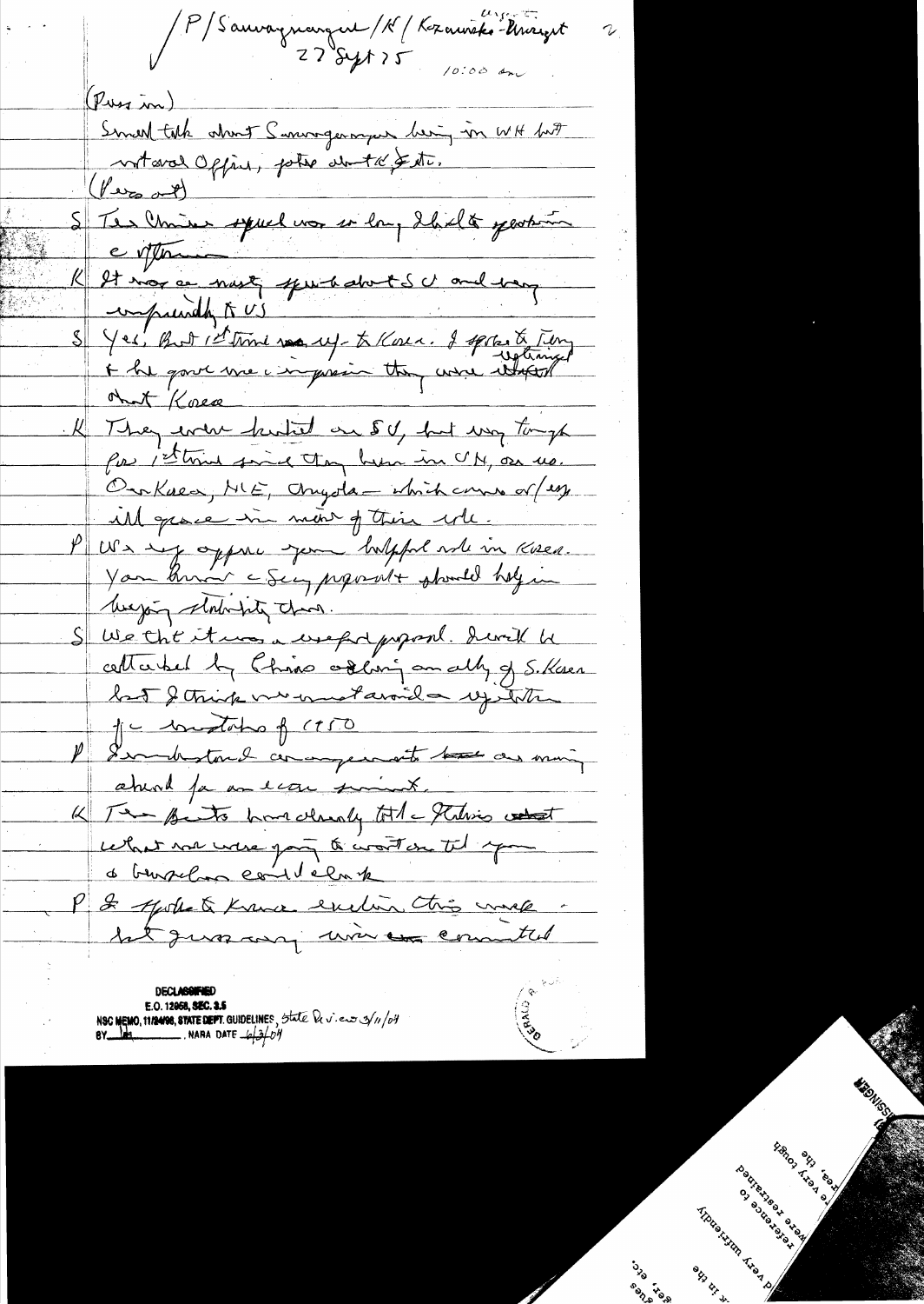PS auvagnangent / K / Kozawicks-Unigert  $(p_{\text{u}}, \ldots)$ Smaltak about Sumogenougen being in WH but  $(1/2)$ Sterliner spuel nor en lang thielte person evitter K It mor a north from the door the change of S Yes, But I time was up- to Kosen. I spokente Time<br>+ he gave une impression they were itsent ont Koese K They ever hutet on 50, but was tomp for 1st time find they have in C/M, on us. OurKnea, ME, Onyola - which came or (egg ill grace in mont of their will. PUS my oppure you holpful will in Kisen. You know a Sea, proposent phondel holy in S We the it was a weep d propont. devil he cette bet by this ordining on ally of S. Kasen la 5 de trinc vermetavoide vistete 1 - constation of (150 P I wonderstand commander with the as moning aturel fa an econ simil. K Ten Bits har classify total Technics what celait vou verse part à contre til epou de trusselan constelante P 2 quite à trave enclu chie mes

**DECLASSIFIED** E.O. 12958, SEC. 2.5<br>NSC MEMO, 11/2498, STATE DEPT. GUIDELINES, State De v. en 3/11/04<br>BY RANA DATE  $-6\frac{1}{2}$ /04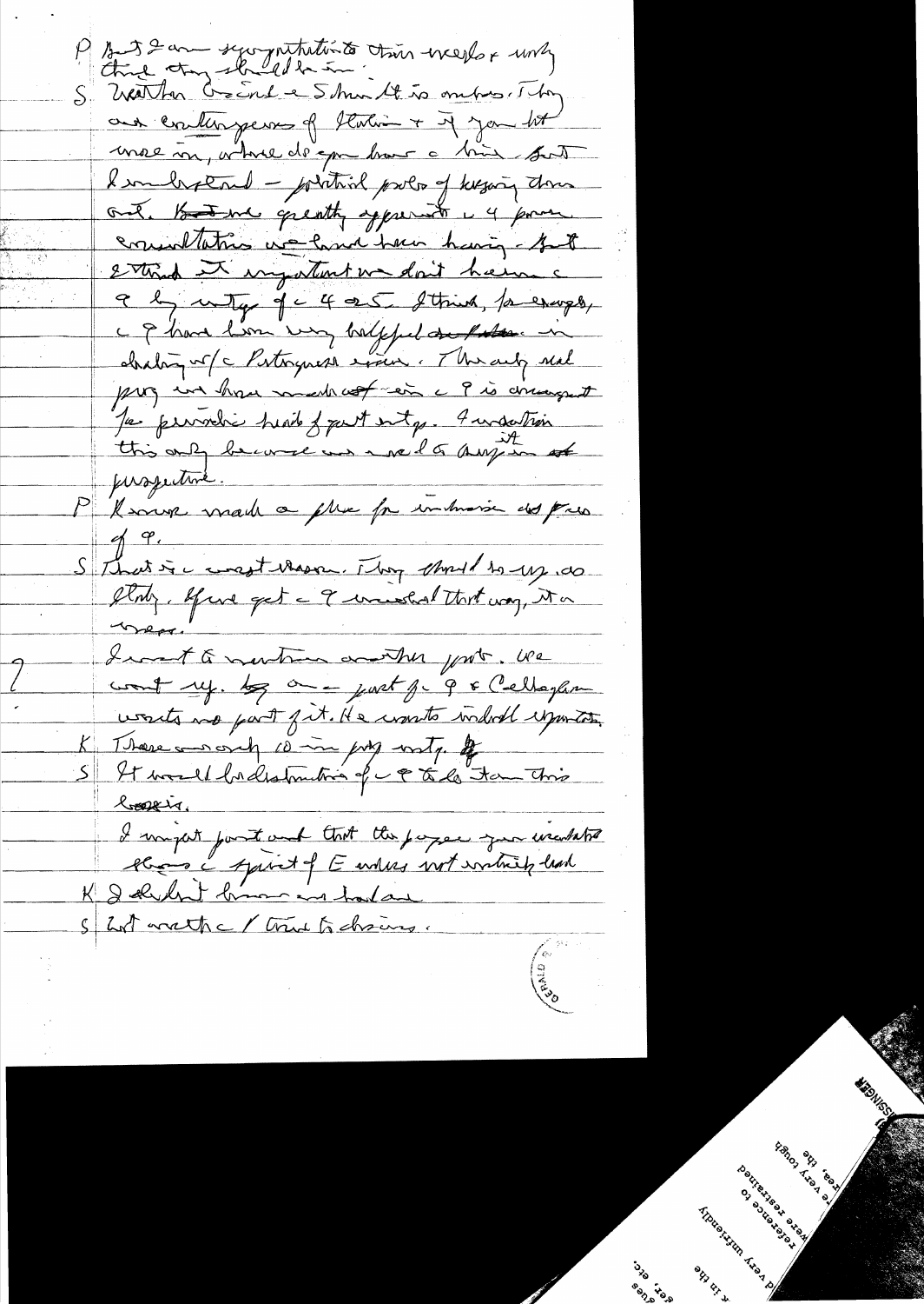And I am secognitivité time everlor una S' Weather Create e 5 hui 14 to ombres. They aux evaluageurs of thating + if you lot moe m, where de que hour a bien sont Kenlegend - protive pour of keyang down ont. Hand greatly apprent i 4 pour consultations we have having but 2 through an important we don't have a a by unity of c 4 a.S. Strink, for except, c & have lim very halffel and the in chabin v (c Pertonguesa exime : Therauly neal pag un hou mentrest en c 9 is concernant Je permetie head of put entry. In substrain pussitive. P "I work made a plus for inhumain des para  $\frac{q}{q}$ S that is a constitution. They should to use to Were Inant to montrem control yest. We wants no part fit. He wants indul exporter. There was only 10 in jury write of S It would be distruction of c & to the thing loopeir. I migut post auf that the pages you included K I durch brown in hada S hat wathe / true to chairs.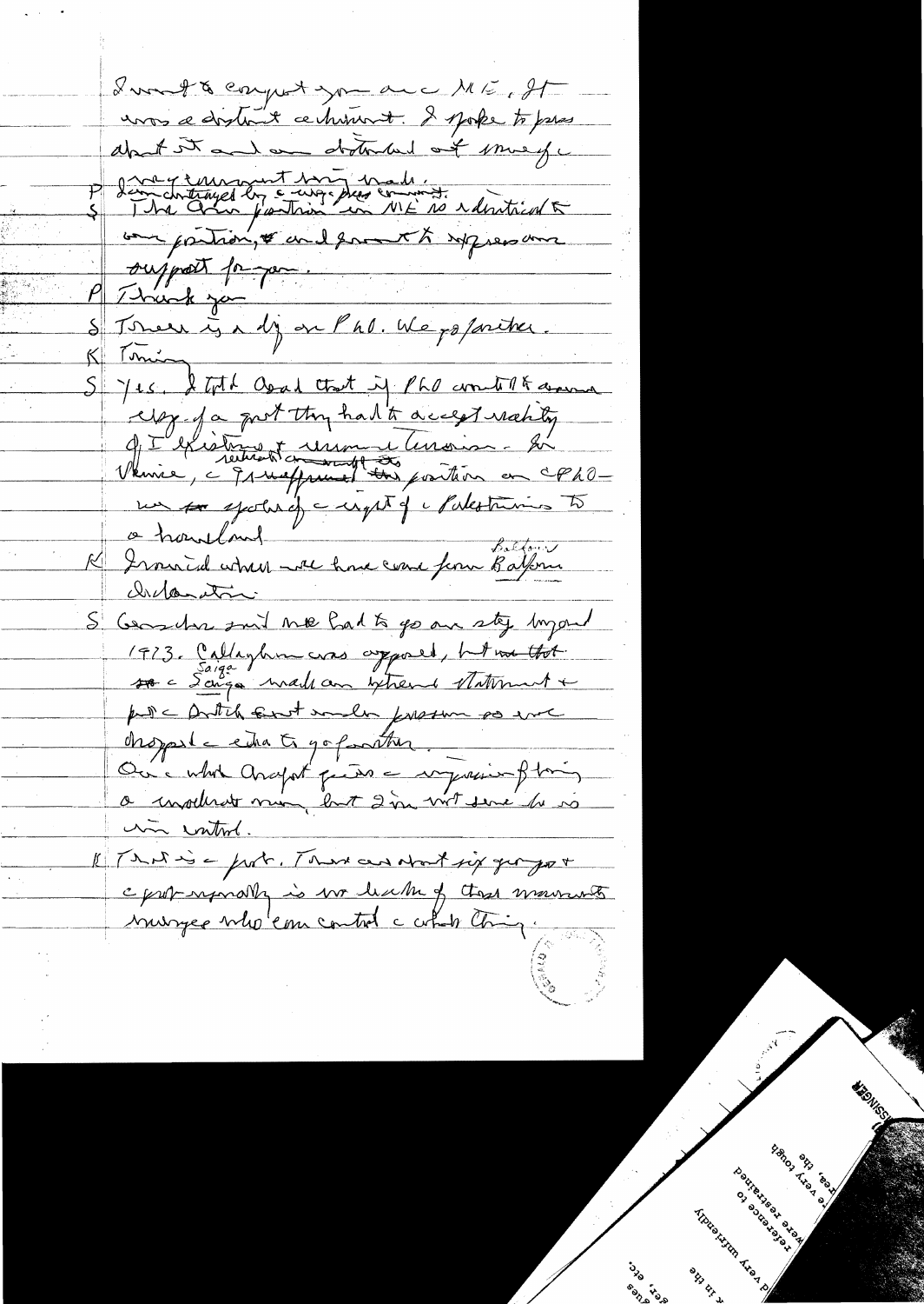Lunt & compt you are ME, IT unos a dosta e chimant. I spoke to pres about it and an obstraked out murge démartiques les cauges des comments résistant our partion, & and formet to repress and ousport porque Thank you S Tomer is a dj on Phl. We po faritrer.  $K$  Tuning S Jes. I toth Osal that if PhO content and egg fa port thy had to accept nating 9 I l'élection dessus lessoirs. Et un for spoke of a upt of Makoturius to a hourland " in Bolfon Distanction S Geoster suit me had to go are sty longend 1973. Callagher cras appared, html that pulle Antih sunt much present po chopped = entre 5 go forather. Ou Mod Araport partir en myseries filmes a insolvert mon last 2 in vit sere de vo un introl. 1 Tris à port. Trait au Nort six georges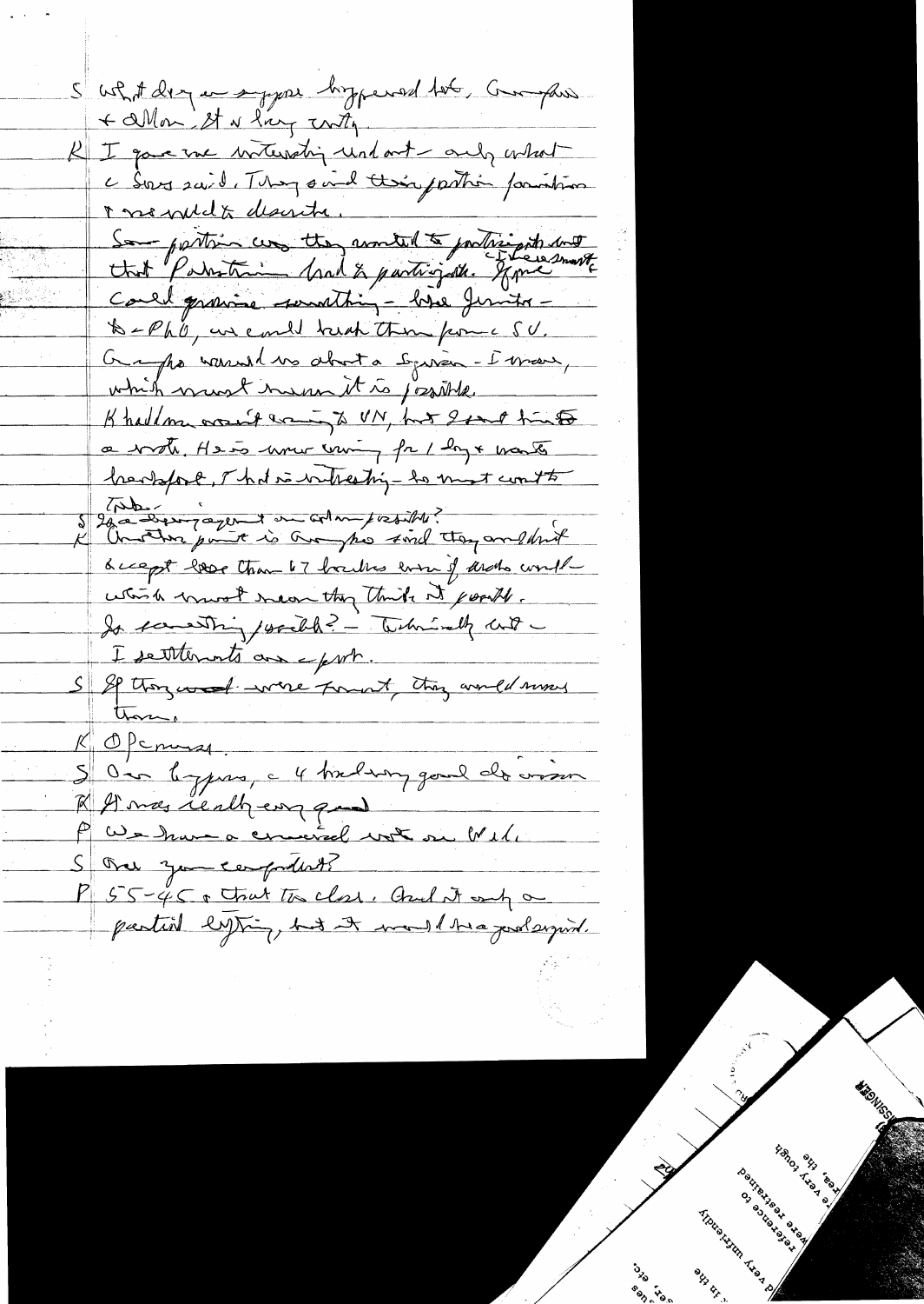S ushot derg an sypar hyperal tob, Granphes + allow It is ling with I gave me intersting und out and a what c Sous said. They sind their partie paintin r ne puda deserte. Sa partir un tte, montel à participat aux Could gravine sunstiting - hove Juntos -B-Ph'O, un could break them from a SU. Grappe warrent ve about a Souvier-I mars, which want in un it is josible. Khaddom wount want to UN, but Isant him a vote He is more coming for 1 log & wants hersport, That is witherting to must count to I lava designed on almost estite. <u>Guapt love than 67 houbs even of archo would</u> which most near they think it points. Is something , would? - Technisely with I settlements are eport. S SP thorzes of were fount this would moved  $K$  Opening Our leggens, a 4 timbre goud de vision R St mas really eng ques P We have a cinieral vot ou Well P 55-45 a trut to class, Auch it and a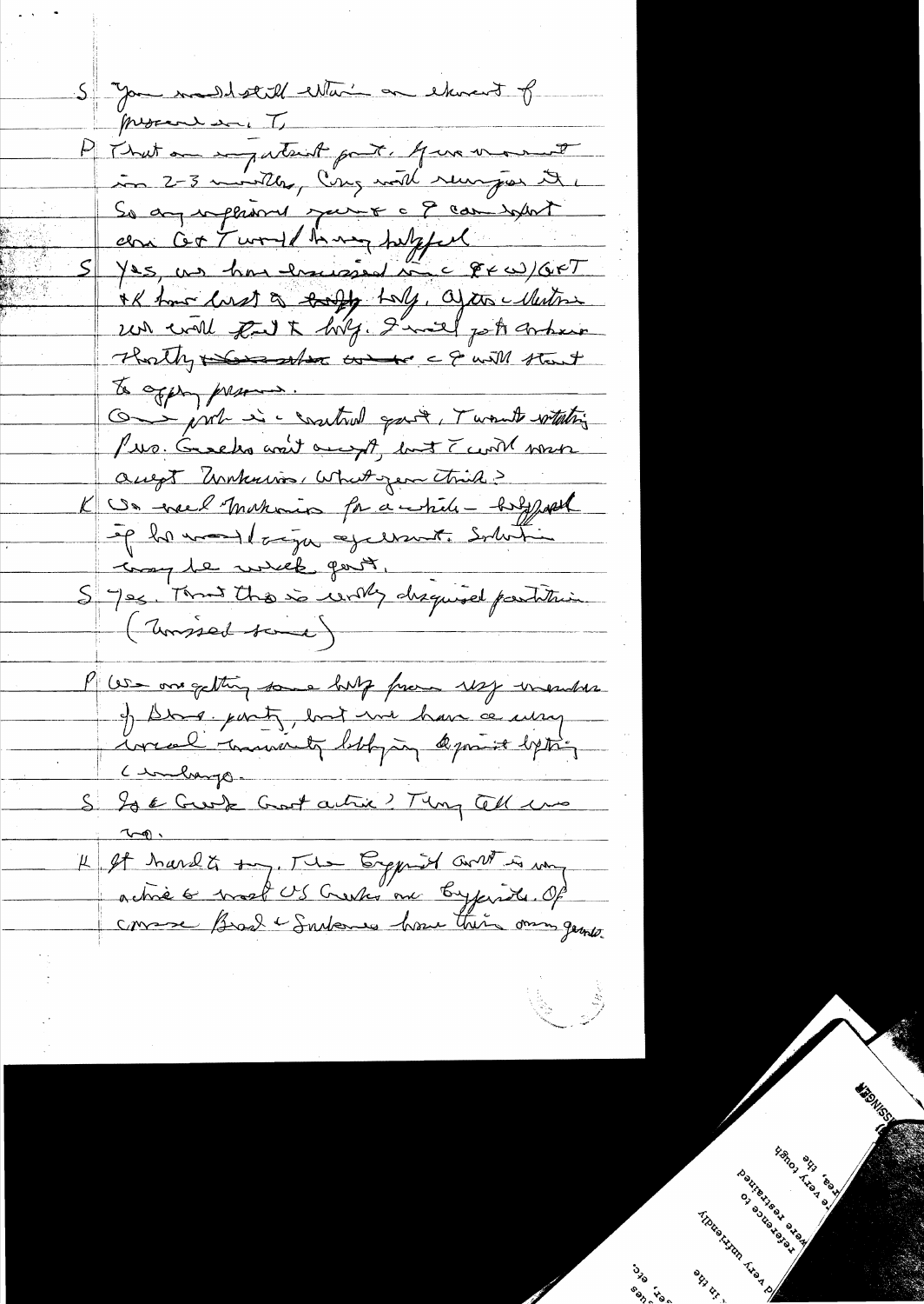S you maddetell estain on etwent of procession T P That an impatent part. Jus varmet in 2-3 montly, Cong with runger it So any inflamed speint a 9 can befort can cet Turned having helpfel  $S/Ns$ , un hon houverd time  $\ell \in \ell$ IK have local to took toly, after white un will kut hig. I'mal pot orbein Thatly the state to I will that To opper presence. On just is control gave, Twant white Pro. Greeks wait onesyst, but Twith work augt Unkniss, What year think? K Un ersel making for a while - hold post op la monderaja og erant. Solution troy be welk port. Sys Tand the so writing disquired partition (Unissed tone) P We one getting some hulp from 1827 -viendre.<br>I Dona part, bort me have ce energen Cinharge. S Is & Greek Goot active? They Cell was 4 It hard & suret US Creeks me Cyprid and is un